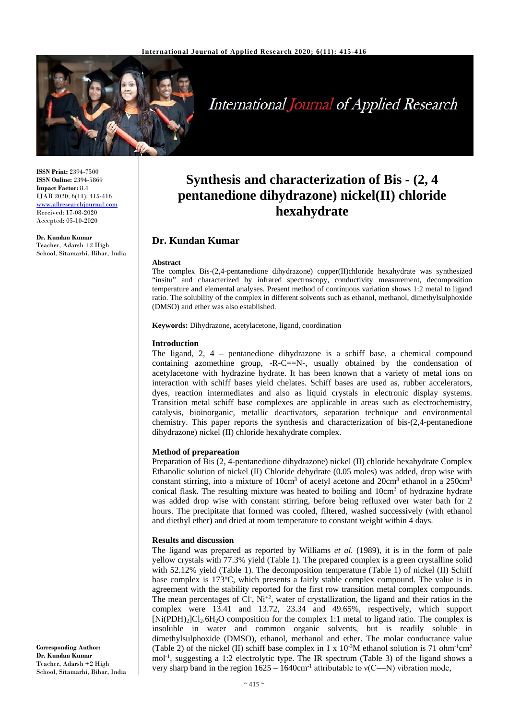

# **International Journal of Applied Research**

**ISSN Print:** 2394-7500 **ISSN Online:** 2394-5869 **Impact Factor:** 8.4 IJAR 2020; 6(11): 415-416 www.allresearchjournal.com Received: 17-08-2020 Accepted: 05-10-2020

**Dr. Kundan Kumar** Teacher, Adarsh +2 High School, Sitamarhi, Bihar, India

## **Synthesis and characterization of Bis - (2, 4 pentanedione dihydrazone) nickel(II) chloride hexahydrate**

### **Dr. Kundan Kumar**

#### **Abstract**

The complex Bis-(2,4-pentanedione dihydrazone) copper(II)chloride hexahydrate was synthesized "insitu" and characterized by infrared spectroscopy, conductivity measurement, decomposition temperature and elemental analyses. Present method of continuous variation shows 1:2 metal to ligand ratio. The solubility of the complex in different solvents such as ethanol, methanol, dimethylsulphoxide (DMSO) and ether was also established.

**Keywords:** Dihydrazone, acetylacetone, ligand, coordination

#### **Introduction**

The ligand, 2, 4 – pentanedione dihydrazone is a schiff base, a chemical compound containing azomethine group,  $-R-C=-N-$ , usually obtained by the condensation of acetylacetone with hydrazine hydrate. It has been known that a variety of metal ions on interaction with schiff bases yield chelates. Schiff bases are used as, rubber accelerators, dyes, reaction intermediates and also as liquid crystals in electronic display systems. Transition metal schiff base complexes are applicable in areas such as electrochemistry, catalysis, bioinorganic, metallic deactivators, separation technique and environmental chemistry. This paper reports the synthesis and characterization of bis-(2,4-pentanedione dihydrazone) nickel (II) chloride hexahydrate complex.

#### **Method of prepareation**

Preparation of Bis (2, 4-pentanedione dihydrazone) nickel (II) chloride hexahydrate Complex Ethanolic solution of nickel (II) Chloride dehydrate (0.05 moles) was added, drop wise with constant stirring, into a mixture of  $10 \text{cm}^3$  of acetyl acetone and  $20 \text{cm}^3$  ethanol in a  $250 \text{cm}^3$ conical flask. The resulting mixture was heated to boiling and 10cm<sup>3</sup> of hydrazine hydrate was added drop wise with constant stirring, before being refluxed over water bath for 2 hours. The precipitate that formed was cooled, filtered, washed successively (with ethanol and diethyl ether) and dried at room temperature to constant weight within 4 days.

#### **Results and discussion**

The ligand was prepared as reported by Williams *et al*. (1989), it is in the form of pale yellow crystals with 77.3% yield (Table 1). The prepared complex is a green crystalline solid with 52.12% yield (Table 1). The decomposition temperature (Table 1) of nickel (II) Schiff base complex is 173°C, which presents a fairly stable complex compound. The value is in agreement with the stability reported for the first row transition metal complex compounds. The mean percentages of Cl,  $Ni^{+2}$ , water of crystallization, the ligand and their ratios in the complex were 13.41 and 13.72, 23.34 and 49.65%, respectively, which support  $[Ni(PDH)_2]Cl_2.6H_2O$  composition for the complex 1:1 metal to ligand ratio. The complex is insoluble in water and common organic solvents, but is readily soluble in dimethylsulphoxide (DMSO), ethanol, methanol and ether. The molar conductance value (Table 2) of the nickel (II) schiff base complex in 1 x  $10^{-3}$ M ethanol solution is 71 ohm<sup>-1</sup>cm<sup>2</sup> mol-1 , suggesting a 1:2 electrolytic type. The IR spectrum (Table 3) of the ligand shows a very sharp band in the region  $1625 - 1640$ cm<sup>-1</sup> attributable to  $v(C == N)$  vibration mode,

**Corresponding Author: Dr. Kundan Kumar** Teacher, Adarsh +2 High School, Sitamarhi, Bihar, India